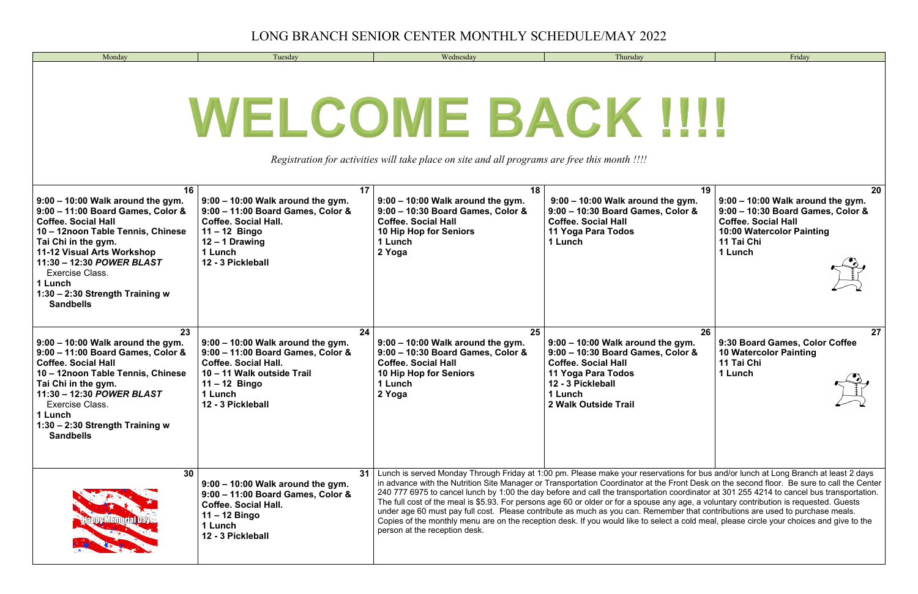| Monday                                                                                                                                                                                                                                                                                                                          | Tuesday                                                                                                                                                                                        | Wednesday                                                                                                                                                                 | Thursday                                                                                                                                                                                                                                                                                                                                                                                                                                                                                                                                                                                                                                                                                                          | Friday                                                                                                                                                                          |
|---------------------------------------------------------------------------------------------------------------------------------------------------------------------------------------------------------------------------------------------------------------------------------------------------------------------------------|------------------------------------------------------------------------------------------------------------------------------------------------------------------------------------------------|---------------------------------------------------------------------------------------------------------------------------------------------------------------------------|-------------------------------------------------------------------------------------------------------------------------------------------------------------------------------------------------------------------------------------------------------------------------------------------------------------------------------------------------------------------------------------------------------------------------------------------------------------------------------------------------------------------------------------------------------------------------------------------------------------------------------------------------------------------------------------------------------------------|---------------------------------------------------------------------------------------------------------------------------------------------------------------------------------|
| WELCOME BACK IIII<br>Registration for activities will take place on site and all programs are free this month !!!!                                                                                                                                                                                                              |                                                                                                                                                                                                |                                                                                                                                                                           |                                                                                                                                                                                                                                                                                                                                                                                                                                                                                                                                                                                                                                                                                                                   |                                                                                                                                                                                 |
| 16<br>$9:00 - 10:00$ Walk around the gym.<br>9:00 - 11:00 Board Games, Color &<br><b>Coffee. Social Hall</b><br>10 - 12noon Table Tennis, Chinese<br>Tai Chi in the gym.<br>11-12 Visual Arts Workshop<br>11:30 - 12:30 POWER BLAST<br><b>Exercise Class.</b><br>1 Lunch<br>1:30 - 2:30 Strength Training w<br><b>Sandbells</b> | 17<br>$9:00 - 10:00$ Walk around the gym.<br>9:00 - 11:00 Board Games, Color &<br><b>Coffee. Social Hall.</b><br>$11 - 12$ Bingo<br>12 - 1 Drawing<br>1 Lunch<br>12 - 3 Pickleball             | 18<br>$9:00 - 10:00$ Walk around the gym.<br>9:00 - 10:30 Board Games, Color &<br><b>Coffee. Social Hall</b><br>10 Hip Hop for Seniors<br>1 Lunch<br>2 Yoga               | 19<br>$9:00 - 10:00$ Walk around the gym.<br>9:00 - 10:30 Board Games, Color &<br><b>Coffee. Social Hall</b><br>11 Yoga Para Todos<br>1 Lunch                                                                                                                                                                                                                                                                                                                                                                                                                                                                                                                                                                     | 20 <sub>2</sub><br>$9:00 - 10:00$ Walk around the gym.<br>9:00 - 10:30 Board Games, Color &<br><b>Coffee. Social Hall</b><br>10:00 Watercolor Painting<br>11 Tai Chi<br>1 Lunch |
| 23<br>$9:00 - 10:00$ Walk around the gym.<br>9:00 - 11:00 Board Games, Color &<br><b>Coffee. Social Hall</b><br>10 - 12noon Table Tennis, Chinese<br>Tai Chi in the gym.<br>11:30 - 12:30 POWER BLAST<br>Exercise Class.<br>1 Lunch<br>1:30 - 2:30 Strength Training w<br><b>Sandbells</b>                                      | 24<br>$9:00 - 10:00$ Walk around the gym.<br>9:00 - 11:00 Board Games, Color &<br><b>Coffee. Social Hall.</b><br>10 - 11 Walk outside Trail<br>$11 - 12$ Bingo<br>1 Lunch<br>12 - 3 Pickleball | 25<br>$9:00 - 10:00$ Walk around the gym.<br>9:00 - 10:30 Board Games, Color &<br><b>Coffee. Social Hall</b><br>10 Hip Hop for Seniors<br>1 Lunch<br>2 Yoga               | 26<br>$9:00 - 10:00$ Walk around the gym.<br>9:00 - 10:30 Board Games, Color &<br><b>Coffee. Social Hall</b><br>11 Yoga Para Todos<br>12 - 3 Pickleball<br>1 Lunch<br>2 Walk Outside Trail                                                                                                                                                                                                                                                                                                                                                                                                                                                                                                                        | 27<br>9:30 Board Games, Color Coffee<br><b>10 Watercolor Painting</b><br>11 Tai Chi<br>1 Lunch<br>$\sqrt{2}$                                                                    |
| 30                                                                                                                                                                                                                                                                                                                              | $9:00 - 10:00$ Walk around the gym.<br>9:00 - 11:00 Board Games, Color &<br><b>Coffee. Social Hall.</b><br>$11 - 12$ Bingo<br>1 Lunch<br>12 - 3 Pickleball                                     | 31   Lunch is served Monday Through Friday at 1:00 pm. Please make your reservations for bus and/or lunch at Long Branch at least 2 days<br>person at the reception desk. | in advance with the Nutrition Site Manager or Transportation Coordinator at the Front Desk on the second floor. Be sure to call the Center<br>240 777 6975 to cancel lunch by 1:00 the day before and call the transportation coordinator at 301 255 4214 to cancel bus transportation.<br>The full cost of the meal is \$5.93. For persons age 60 or older or for a spouse any age, a voluntary contribution is requested. Guests<br>under age 60 must pay full cost. Please contribute as much as you can. Remember that contributions are used to purchase meals.<br>Copies of the monthly menu are on the reception desk. If you would like to select a cold meal, please circle your choices and give to the |                                                                                                                                                                                 |